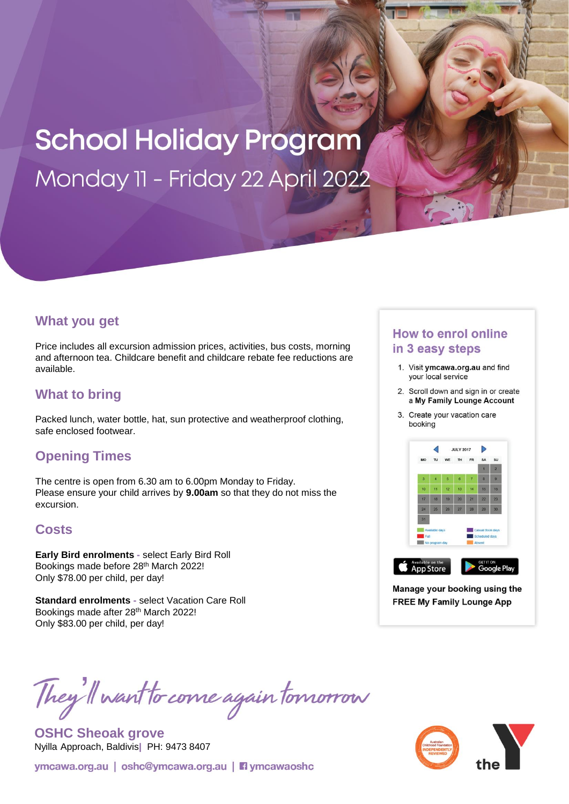## **School Holiday Program** Monday 11 - Friday 22 April 2022

#### **What you get**

Price includes all excursion admission prices, activities, bus costs, morning and afternoon tea. Childcare benefit and childcare rebate fee reductions are available.

### **What to bring**

Packed lunch, water bottle, hat, sun protective and weatherproof clothing, safe enclosed footwear.

#### **Opening Times**

The centre is open from 6.30 am to 6.00pm Monday to Friday. Please ensure your child arrives by **9.00am** so that they do not miss the excursion.

#### **Costs**

**Early Bird enrolments -** select Early Bird Roll Bookings made before 28th March 2022! Only \$78.00 per child, per day!

**Standard enrolments -** select Vacation Care Roll Bookings made after 28<sup>th</sup> March 2022! Only \$83.00 per child, per day!

# They'll want to come again tomorrow

**OSHC Sheoak grove**  Nyilla Approach, Baldivis**|** PH: 9473 8407

ymcawa.org.au | oshc@ymcawa.org.au | **Fi** ymcawaoshc

#### **How to enrol online** in 3 easy steps

- 1. Visit ymcawa.org.au and find your local service
- 2. Scroll down and sign in or create a My Family Lounge Account
- 3. Create your vacation care booking



Manage your booking using the **FREE My Family Lounge App**